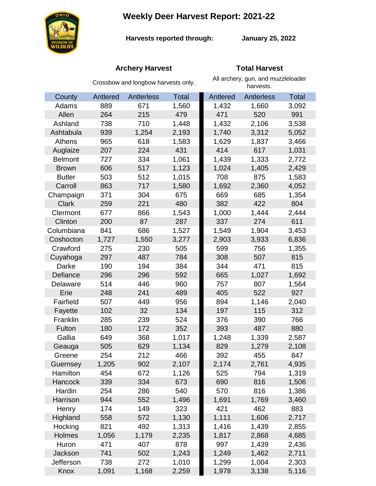# **Weekly Deer Harvest Report: 2021-22**



**Harvests reported through:** 

**January 25, 2022**

## **Archery Harvest Total Harvest**

|                | Crossbow and longbow harvests only. |            |              | All archery, gun, and muzzleloader<br>harvests. |                   |              |
|----------------|-------------------------------------|------------|--------------|-------------------------------------------------|-------------------|--------------|
| County         | Antlered                            | Antlerless | <b>Total</b> | Antlered                                        | <b>Antlerless</b> | <b>Total</b> |
| Adams          | 889                                 | 671        | 1,560        | 1,432                                           | 1,660             | 3,092        |
| Allen          | 264                                 | 215        | 479          | 471                                             | 520               | 991          |
| Ashland        | 738                                 | 710        | 1,448        | 1,432                                           | 2,106             | 3,538        |
| Ashtabula      | 939                                 | 1,254      | 2,193        | 1,740                                           | 3,312             | 5,052        |
| Athens         | 965                                 | 618        | 1,583        | 1,629                                           | 1,837             | 3,466        |
| Auglaize       | 207                                 | 224        | 431          | 414                                             | 617               | 1,031        |
| <b>Belmont</b> | 727                                 | 334        | 1,061        | 1,439                                           | 1,333             | 2,772        |
| <b>Brown</b>   | 606                                 | 517        | 1,123        | 1,024                                           | 1,405             | 2,429        |
| <b>Butler</b>  | 503                                 | 512        | 1,015        | 708                                             | 875               | 1,583        |
| Carroll        | 863                                 | 717        | 1,580        | 1,692                                           | 2,360             | 4,052        |
| Champaign      | 371                                 | 304        | 675          | 669                                             | 685               | 1,354        |
| <b>Clark</b>   | 259                                 | 221        | 480          | 382                                             | 422               | 804          |
| Clermont       | 677                                 | 866        | 1,543        | 1,000                                           | 1,444             | 2,444        |
| Clinton        | 200                                 | 87         | 287          | 337                                             | 274               | 611          |
| Columbiana     | 841                                 | 686        | 1,527        | 1,549                                           | 1,904             | 3,453        |
| Coshocton      | 1,727                               | 1,550      | 3,277        | 2,903                                           | 3,933             | 6,836        |
| Crawford       | 275                                 | 230        | 505          | 599                                             | 756               | 1,355        |
| Cuyahoga       | 297                                 | 487        | 784          | 308                                             | 507               | 815          |
| Darke          | 190                                 | 194        | 384          | 344                                             | 471               | 815          |
| Defiance       | 296                                 | 296        | 592          | 665                                             | 1,027             | 1,692        |
| Delaware       | 514                                 | 446        | 960          | 757                                             | 807               | 1,564        |
| Erie           | 248                                 | 241        | 489          | 405                                             | 522               | 927          |
| Fairfield      | 507                                 | 449        | 956          | 894                                             | 1,146             | 2,040        |
| Fayette        | 102                                 | 32         | 134          | 197                                             | 115               | 312          |
| Franklin       | 285                                 | 239        | 524          | 376                                             | 390               | 766          |
| Fulton         | 180                                 | 172        | 352          | 393                                             | 487               | 880          |
| Gallia         | 649                                 | 368        | 1,017        | 1,248                                           | 1,339             | 2,587        |
| Geauga         | 505                                 | 629        | 1,134        | 829                                             | 1,279             | 2,108        |
| Greene         | 254                                 | 212        | 466          | 392                                             | 455               | 847          |
| Guernsey       | 1,205                               | 902        | 2,107        | 2,174                                           | 2,761             | 4,935        |
| Hamilton       | 454                                 | 672        | 1,126        | 525                                             | 794               | 1,319        |
| <b>Hancock</b> | 339                                 | 334        | 673          | 690                                             | 816               | 1,506        |
| Hardin         | 254                                 | 286        | 540          | 570                                             | 816               | 1,386        |
| Harrison       | 944                                 | 552        | 1,496        | 1,691                                           | 1,769             | 3,460        |
| Henry          | 174                                 | 149        | 323          | 421                                             | 462               | 883          |
| Highland       | 558                                 | 572        | 1,130        | 1,111                                           | 1,606             | 2,717        |
| Hocking        | 821                                 | 492        | 1,313        | 1,416                                           | 1,439             | 2,855        |
| Holmes         | 1,056                               | 1,179      | 2,235        | 1,817                                           | 2,868             | 4,685        |
| Huron          | 471                                 | 407        | 878          | 997                                             | 1,439             | 2,436        |
| Jackson        | 741                                 | 502        | 1,243        | 1,249                                           | 1,462             | 2,711        |
| Jefferson      | 738                                 | 272        | 1,010        | 1,299                                           | 1,004             | 2,303        |
| Knox           | 1,091                               | 1,168      | 2,259        | 1,978                                           | 3,138             | 5,116        |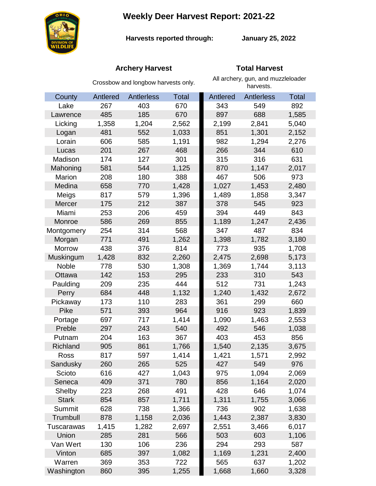**Weekly Deer Harvest Report: 2021-22**



**Harvests reported through:** 

**January 25, 2022**

## **Archery Harvest Total Harvest**

|               | Crossbow and longbow harvests only. |            |              | All archery, gun, and muzzleloader<br>harvests. |            |              |  |
|---------------|-------------------------------------|------------|--------------|-------------------------------------------------|------------|--------------|--|
| County        | Antlered                            | Antlerless | <b>Total</b> | Antlered                                        | Antlerless | <b>Total</b> |  |
| Lake          | 267                                 | 403        | 670          | 343                                             | 549        | 892          |  |
| Lawrence      | 485                                 | 185        | 670          | 897                                             | 688        | 1,585        |  |
| Licking       | 1,358                               | 1,204      | 2,562        | 2,199                                           | 2,841      | 5,040        |  |
| Logan         | 481                                 | 552        | 1,033        | 851                                             | 1,301      | 2,152        |  |
| Lorain        | 606                                 | 585        | 1,191        | 982                                             | 1,294      | 2,276        |  |
| Lucas         | 201                                 | 267        | 468          | 266                                             | 344        | 610          |  |
| Madison       | 174                                 | 127        | 301          | 315                                             | 316        | 631          |  |
| Mahoning      | 581                                 | 544        | 1,125        | 870                                             | 1,147      | 2,017        |  |
| Marion        | 208                                 | 180        | 388          | 467                                             | 506        | 973          |  |
| Medina        | 658                                 | 770        | 1,428        | 1,027                                           | 1,453      | 2,480        |  |
| Meigs         | 817                                 | 579        | 1,396        | 1,489                                           | 1,858      | 3,347        |  |
| Mercer        | 175                                 | 212        | 387          | 378                                             | 545        | 923          |  |
| Miami         | 253                                 | 206        | 459          | 394                                             | 449        | 843          |  |
| Monroe        | 586                                 | 269        | 855          | 1,189                                           | 1,247      | 2,436        |  |
| Montgomery    | 254                                 | 314        | 568          | 347                                             | 487        | 834          |  |
| Morgan        | 771                                 | 491        | 1,262        | 1,398                                           | 1,782      | 3,180        |  |
| <b>Morrow</b> | 438                                 | 376        | 814          | 773                                             | 935        | 1,708        |  |
| Muskingum     | 1,428                               | 832        | 2,260        | 2,475                                           | 2,698      | 5,173        |  |
| Noble         | 778                                 | 530        | 1,308        | 1,369                                           | 1,744      | 3,113        |  |
| Ottawa        | 142                                 | 153        | 295          | 233                                             | 310        | 543          |  |
| Paulding      | 209                                 | 235        | 444          | 512                                             | 731        | 1,243        |  |
| Perry         | 684                                 | 448        | 1,132        | 1,240                                           | 1,432      | 2,672        |  |
| Pickaway      | 173                                 | 110        | 283          | 361                                             | 299        | 660          |  |
| Pike          | 571                                 | 393        | 964          | 916                                             | 923        | 1,839        |  |
| Portage       | 697                                 | 717        | 1,414        | 1,090                                           | 1,463      | 2,553        |  |
| Preble        | 297                                 | 243        | 540          | 492                                             | 546        | 1,038        |  |
| Putnam        | 204                                 | 163        | 367          | 403                                             | 453        | 856          |  |
| Richland      | 905                                 | 861        | 1,766        | 1,540                                           | 2,135      | 3,675        |  |
| Ross          | 817                                 | 597        | 1,414        | 1,421                                           | 1,571      | 2,992        |  |
| Sandusky      | 260                                 | 265        | 525          | 427                                             | 549        | 976          |  |
| Scioto        | 616                                 | 427        | 1,043        | 975                                             | 1,094      | 2,069        |  |
| Seneca        | 409                                 | 371        | 780          | 856                                             | 1,164      | 2,020        |  |
| Shelby        | 223                                 | 268        | 491          | 428                                             | 646        | 1,074        |  |
| <b>Stark</b>  | 854                                 | 857        | 1,711        | 1,311                                           | 1,755      | 3,066        |  |
| Summit        | 628                                 | 738        | 1,366        | 736                                             | 902        | 1,638        |  |
| Trumbull      | 878                                 | 1,158      | 2,036        | 1,443                                           | 2,387      | 3,830        |  |
| Tuscarawas    | 1,415                               | 1,282      | 2,697        | 2,551                                           | 3,466      | 6,017        |  |
| Union         | 285                                 | 281        | 566          | 503                                             | 603        | 1,106        |  |
| Van Wert      | 130                                 | 106        | 236          | 294                                             | 293        | 587          |  |
| Vinton        | 685                                 | 397        | 1,082        | 1,169                                           | 1,231      | 2,400        |  |
| Warren        | 369                                 | 353        | 722          | 565                                             | 637        | 1,202        |  |
| Washington    | 860                                 | 395        | 1,255        | 1,668                                           | 1,660      | 3,328        |  |